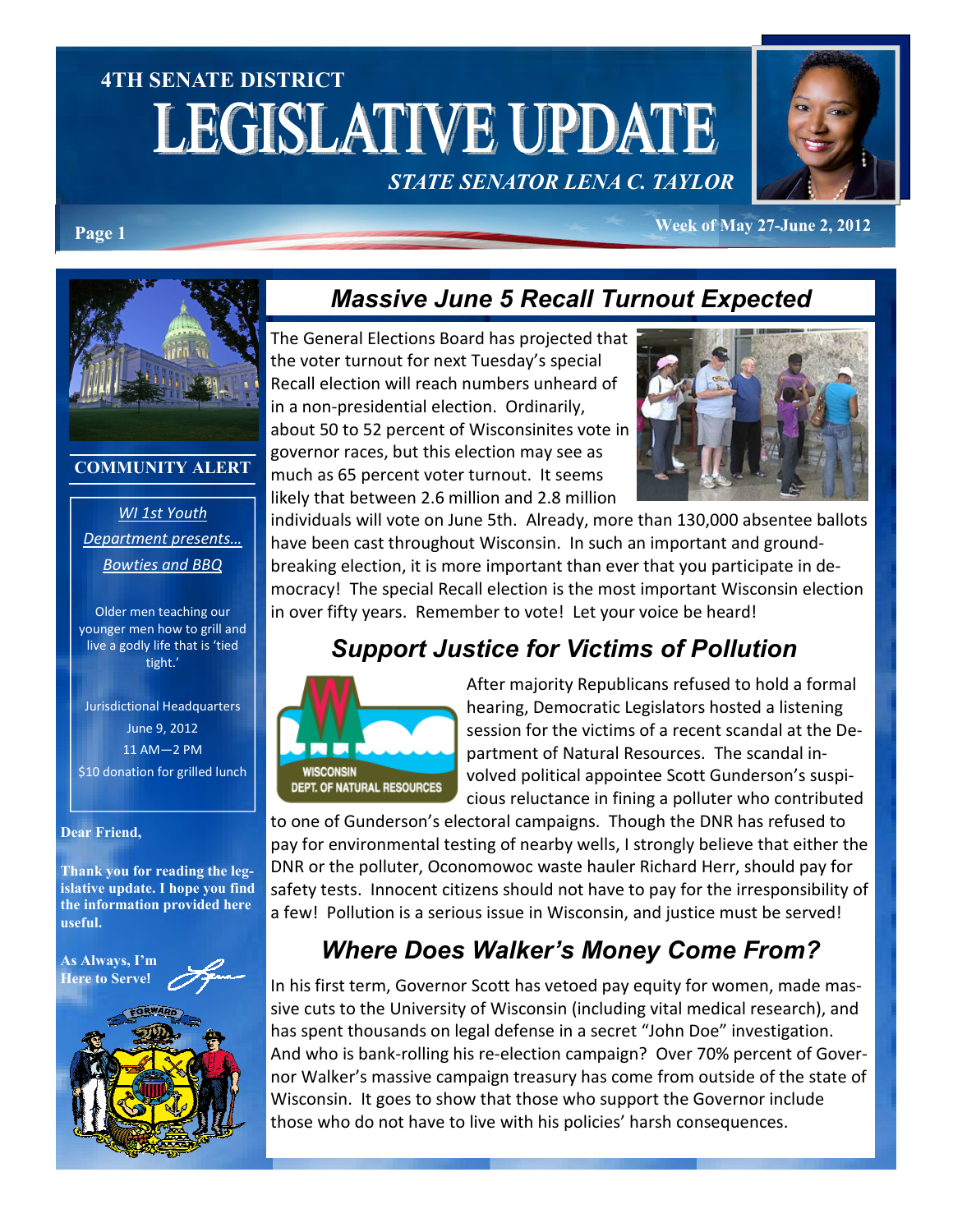# 4TH SENATE DISTRICT **LEGISLATIVE UPDATE**





Page 1 Week of May 27-June 2, 2012



#### COMMUNITY ALERT

WI 1st Youth Department presents… Bowties and BBQ

Older men teaching our younger men how to grill and live a godly life that is 'tied tight.'

Jurisdictional Headquarters June 9, 2012 11 AM—2 PM \$10 donation for grilled lunch

#### Dear Friend,

Thank you for reading the legislative update. I hope you find the information provided here useful.

As Always, I'm Here to Serve!



## Massive June 5 Recall Turnout Expected

The General Elections Board has projected that the voter turnout for next Tuesday's special Recall election will reach numbers unheard of in a non-presidential election. Ordinarily, about 50 to 52 percent of Wisconsinites vote in governor races, but this election may see as much as 65 percent voter turnout. It seems likely that between 2.6 million and 2.8 million



individuals will vote on June 5th. Already, more than 130,000 absentee ballots have been cast throughout Wisconsin. In such an important and groundbreaking election, it is more important than ever that you participate in democracy! The special Recall election is the most important Wisconsin election in over fifty years. Remember to vote! Let your voice be heard!

## Support Justice for Victims of Pollution



After majority Republicans refused to hold a formal hearing, Democratic Legislators hosted a listening session for the victims of a recent scandal at the Department of Natural Resources. The scandal involved political appointee Scott Gunderson's suspicious reluctance in fining a polluter who contributed

to one of Gunderson's electoral campaigns. Though the DNR has refused to pay for environmental testing of nearby wells, I strongly believe that either the DNR or the polluter, Oconomowoc waste hauler Richard Herr, should pay for safety tests. Innocent citizens should not have to pay for the irresponsibility of a few! Pollution is a serious issue in Wisconsin, and justice must be served!

# Where Does Walker's Money Come From?

In his first term, Governor Scott has vetoed pay equity for women, made massive cuts to the University of Wisconsin (including vital medical research), and has spent thousands on legal defense in a secret "John Doe" investigation. And who is bank-rolling his re-election campaign? Over 70% percent of Governor Walker's massive campaign treasury has come from outside of the state of Wisconsin. It goes to show that those who support the Governor include those who do not have to live with his policies' harsh consequences.